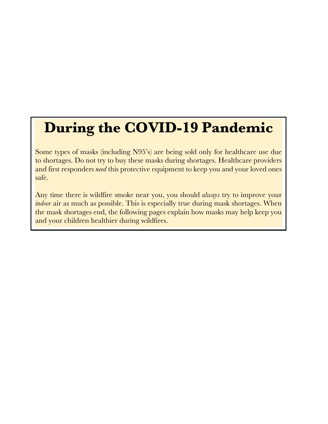# **During the COVID-19 Pandemic**

Some types of masks (including N95's) are being sold only for healthcare use due to shortages. Do not try to buy these masks during shortages. Healthcare providers and first responders *need* this protective equipment to keep you and your loved ones safe.

Any time there is wildfire smoke near you, you should *always* try to improve your *indoor* air as much as possible. This is especially true during mask shortages. When the mask shortages end, the following pages explain how masks may help keep you and your children healthier during wildfires.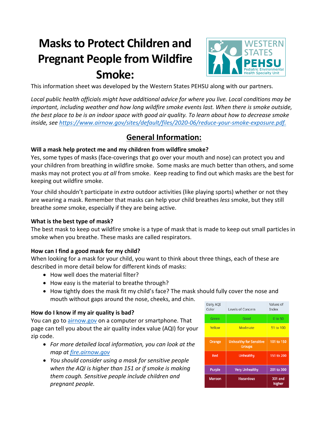## **Masksto Protect Children and Pregnant People from Wildfire Smoke:**



This information sheet was developed by the Western States PEHSU along with our partners.

*Local public health officials might have additional advice for where you live. Local conditions may be important, including weather and how long wildfire smoke events last. When there is smoke outside, the best place to be is an indoor space with good air quality. To learn about how to decrease smoke inside, see https://www.airnow.gov/sites/default/files/2020-06/reduce-your-smoke-exposure.pdf.*

## **General Information:**

#### **Will a mask help protect me and my children from wildfire smoke?**

Yes, some types of masks (face-coverings that go over your mouth and nose) can protect you and your children from breathing in wildfire smoke. Some masks are much better than others, and some masks may not protect you *at all* from smoke. Keep reading to find out which masks are the best for keeping out wildfire smoke.

Your child shouldn't participate in *extra* outdoor activities (like playing sports) whether or not they are wearing a mask. Remember that masks can help your child breathes *less* smoke, but they still breathe *some* smoke, especially if they are being active.

#### **What is the best type of mask?**

The best mask to keep out wildfire smoke is a type of mask that is made to keep out small particles in smoke when you breathe. These masks are called respirators.

#### **How can I find a good mask for my child?**

When looking for a mask for your child, you want to think about three things, each of these are described in more detail below for different kinds of masks:

- How well does the material filter?
- How easy is the material to breathe through?
- How tightly does the mask fit my child's face? The mask should fully cover the nose and mouth without gaps around the nose, cheeks, and chin.

#### **How do I know if my air quality is bad?**

You can go to airnow.gov on a computer or smartphone. That page can tell you about the air quality index value (AQI) for your zip code.

- *For more detailed local information, you can look at the map at fire.airnow.gov*
- *You should consider using a mask for sensitive people when the AQI is higher than 151 or if smoke is making them cough. Sensitive people include children and pregnant people.*

| Daily AQI<br>Color | Levels of Concern              | Values of<br>Index |
|--------------------|--------------------------------|--------------------|
| Green              | Good                           | 0 to 50            |
| Yellow             | Moderate                       | 51 to 100          |
| Orange             | <b>Unhealthy for Sensitive</b> | 101 to 150         |
|                    | <b>Groups</b>                  |                    |
| Red                | Unhealthy                      | 151 to 200         |
| <b>Purple</b>      | <b>Very Unhealthy</b>          | 201 to 300         |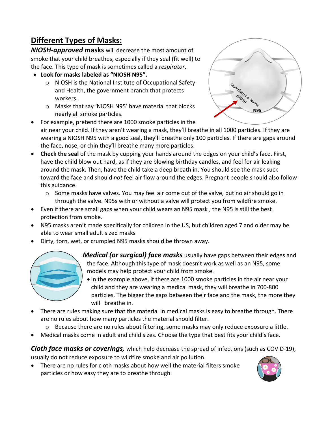## **Different Types of Masks:**

*NIOSH-approved* **masks** will decrease the most amount of smoke that your child breathes, especially if they seal (fit well) to the face. This type of mask is sometimes called a *respirator*.

- **Look for masks labeled as "NIOSH N95".** 
	- o NIOSH is the National Institute of Occupational Safety and Health, the government branch that protects workers.
	- o Masks that say 'NIOSH N95' have material that blocks nearly all smoke particles.



- For example, pretend there are 1000 smoke particles in the air near your child. If they aren't wearing a mask, they'll breathe in all 1000 particles. If they are wearing a NIOSH N95 with a good seal, they'll breathe only 100 particles. If there are gaps around the face, nose, or chin they'll breathe many more particles.
- **Check the seal** of the mask by cupping your hands around the edges on your child's face. First, have the child blow out hard, as if they are blowing birthday candles, and feel for air leaking around the mask. Then, have the child take a deep breath in. You should see the mask suck toward the face and should *not* feel air flow around the edges. Pregnant people should also follow this guidance.
	- o Some masks have valves. You may feel air come out of the valve, but no air should go in through the valve. N95s with or without a valve will protect you from wildfire smoke.
- Even if there are small gaps when your child wears an N95 mask , the N95 is still the best protection from smoke.
- N95 masks aren't made specifically for children in the US, but children aged 7 and older may be able to wear small adult sized masks
- Dirty, torn, wet, or crumpled N95 masks should be thrown away.



- *Medical (or surgical) face masks* usually have gaps between their edges and the face. Although this type of mask doesn't work as well as an N95, some models may help protect your child from smoke.
	- In the example above, if there are 1000 smoke particles in the air near your child and they are wearing a medical mask, they will breathe in 700-800 particles. The bigger the gaps between their face and the mask, the more they will breathe in.
- There are rules making sure that the material in medical masks is easy to breathe through. There are no rules about how many particles the material should filter.
	- o Because there are no rules about filtering, some masks may only reduce exposure a little.
- Medical masks come in adult and child sizes. Choose the type that best fits your child's face.

*Cloth face masks or coverings,* which help decrease the spread of infections (such as COVID-19), usually do not reduce exposure to wildfire smoke and air pollution.

• There are no rules for cloth masks about how well the material filters smoke particles or how easy they are to breathe through.